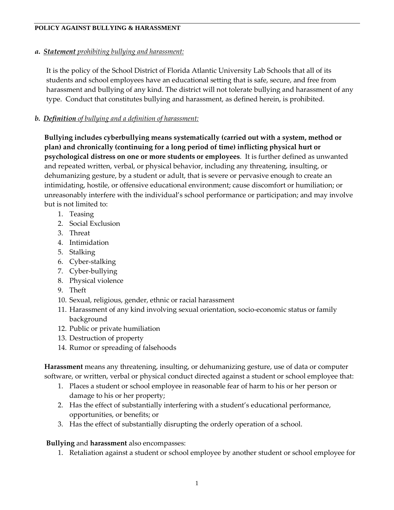*a. Statement prohibiting bullying and harassment:*

It is the policy of the School District of Florida Atlantic University Lab Schools that all of its students and school employees have an educational setting that is safe, secure, and free from harassment and bullying of any kind. The district will not tolerate bullying and harassment of any type. Conduct that constitutes bullying and harassment, as defined herein, is prohibited.

# *b. Definition of bullying and a definition of harassment:*

**Bullying includes cyberbullying means systematically (carried out with a system, method or plan) and chronically (continuing for a long period of time) inflicting physical hurt or psychological distress on one or more students or employees**. It is further defined as unwanted and repeated written, verbal, or physical behavior, including any threatening, insulting, or dehumanizing gesture, by a student or adult, that is severe or pervasive enough to create an intimidating, hostile, or offensive educational environment; cause discomfort or humiliation; or unreasonably interfere with the individual's school performance or participation; and may involve but is not limited to:

- 1. Teasing
- 2. Social Exclusion
- 3. Threat
- 4. Intimidation
- 5. Stalking
- 6. Cyber-stalking
- 7. Cyber-bullying
- 8. Physical violence
- 9. Theft
- 10. Sexual, religious, gender, ethnic or racial harassment
- 11. Harassment of any kind involving sexual orientation, socio-economic status or family background
- 12. Public or private humiliation
- 13. Destruction of property
- 14. Rumor or spreading of falsehoods

**Harassment** means any threatening, insulting, or dehumanizing gesture, use of data or computer software, or written, verbal or physical conduct directed against a student or school employee that:

- 1. Places a student or school employee in reasonable fear of harm to his or her person or damage to his or her property;
- 2. Has the effect of substantially interfering with a student's educational performance, opportunities, or benefits; or
- 3. Has the effect of substantially disrupting the orderly operation of a school.

### **Bullying** and **harassment** also encompasses:

1. Retaliation against a student or school employee by another student or school employee for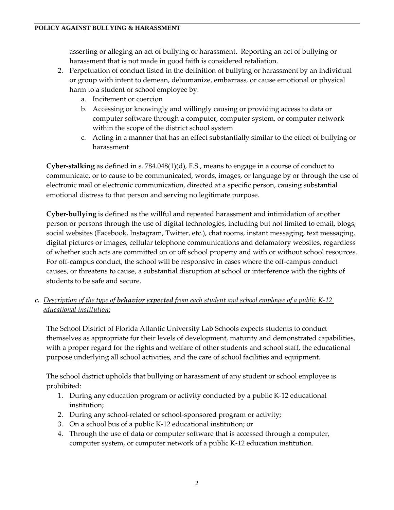asserting or alleging an act of bullying or harassment. Reporting an act of bullying or harassment that is not made in good faith is considered retaliation.

- 2. Perpetuation of conduct listed in the definition of bullying or harassment by an individual or group with intent to demean, dehumanize, embarrass, or cause emotional or physical harm to a student or school employee by:
	- a. Incitement or coercion
	- b. Accessing or knowingly and willingly causing or providing access to data or computer software through a computer, computer system, or computer network within the scope of the district school system
	- c. Acting in a manner that has an effect substantially similar to the effect of bullying or harassment

**Cyber-stalking** as defined in s. 784.048(1)(d), F.S., means to engage in a course of conduct to communicate, or to cause to be communicated, words, images, or language by or through the use of electronic mail or electronic communication, directed at a specific person, causing substantial emotional distress to that person and serving no legitimate purpose.

**Cyber-bullying** is defined as the willful and repeated harassment and intimidation of another person or persons through the use of digital technologies, including but not limited to email, blogs, social websites (Facebook, Instagram, Twitter, etc.), chat rooms, instant messaging, text messaging, digital pictures or images, cellular telephone communications and defamatory websites, regardless of whether such acts are committed on or off school property and with or without school resources. For off-campus conduct, the school will be responsive in cases where the off-campus conduct causes, or threatens to cause, a substantial disruption at school or interference with the rights of students to be safe and secure.

*c. Description of the type of behavior expected from each student and school employee of a public K-12 educational institution:*

The School District of Florida Atlantic University Lab Schools expects students to conduct themselves as appropriate for their levels of development, maturity and demonstrated capabilities, with a proper regard for the rights and welfare of other students and school staff, the educational purpose underlying all school activities, and the care of school facilities and equipment.

The school district upholds that bullying or harassment of any student or school employee is prohibited:

- 1. During any education program or activity conducted by a public K-12 educational institution;
- 2. During any school-related or school-sponsored program or activity;
- 3. On a school bus of a public K-12 educational institution; or
- 4. Through the use of data or computer software that is accessed through a computer, computer system, or computer network of a public K-12 education institution.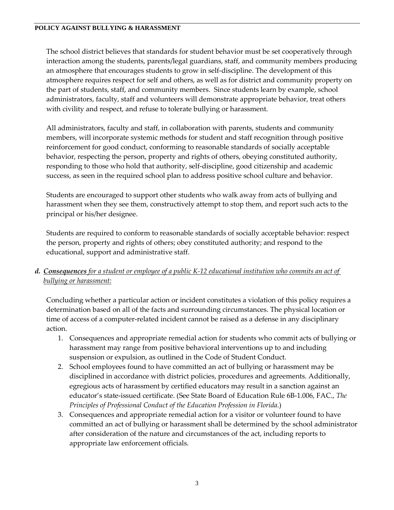The school district believes that standards for student behavior must be set cooperatively through interaction among the students, parents/legal guardians, staff, and community members producing an atmosphere that encourages students to grow in self-discipline. The development of this atmosphere requires respect for self and others, as well as for district and community property on the part of students, staff, and community members. Since students learn by example, school administrators, faculty, staff and volunteers will demonstrate appropriate behavior, treat others with civility and respect, and refuse to tolerate bullying or harassment.

All administrators, faculty and staff, in collaboration with parents, students and community members, will incorporate systemic methods for student and staff recognition through positive reinforcement for good conduct, conforming to reasonable standards of socially acceptable behavior, respecting the person, property and rights of others, obeying constituted authority, responding to those who hold that authority, self-discipline, good citizenship and academic success, as seen in the required school plan to address positive school culture and behavior.

Students are encouraged to support other students who walk away from acts of bullying and harassment when they see them, constructively attempt to stop them, and report such acts to the principal or his/her designee.

Students are required to conform to reasonable standards of socially acceptable behavior: respect the person, property and rights of others; obey constituted authority; and respond to the educational, support and administrative staff.

*d. Consequences for a student or employee of a public K-12 educational institution who commits an act of bullying or harassment:*

Concluding whether a particular action or incident constitutes a violation of this policy requires a determination based on all of the facts and surrounding circumstances. The physical location or time of access of a computer-related incident cannot be raised as a defense in any disciplinary action.

- 1. Consequences and appropriate remedial action for students who commit acts of bullying or harassment may range from positive behavioral interventions up to and including suspension or expulsion, as outlined in the Code of Student Conduct.
- 2. School employees found to have committed an act of bullying or harassment may be disciplined in accordance with district policies, procedures and agreements. Additionally, egregious acts of harassment by certified educators may result in a sanction against an educator's state-issued certificate. (See State Board of Education Rule 6B-1.006, FAC., *The Principles of Professional Conduct of the Education Profession in Florida*.)
- 3. Consequences and appropriate remedial action for a visitor or volunteer found to have committed an act of bullying or harassment shall be determined by the school administrator after consideration of the nature and circumstances of the act, including reports to appropriate law enforcement officials.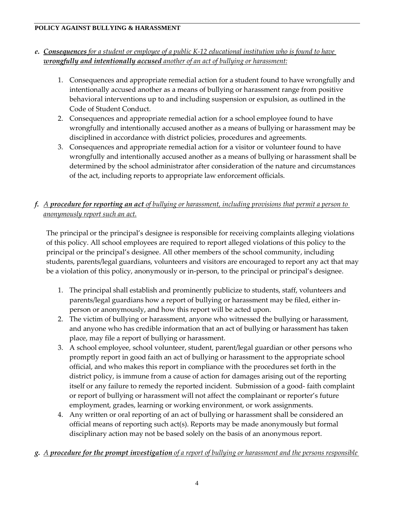# *e. Consequences for a student or employee of a public K-12 educational institution who is found to have wrongfully and intentionally accused another of an act of bullying or harassment:*

- 1. Consequences and appropriate remedial action for a student found to have wrongfully and intentionally accused another as a means of bullying or harassment range from positive behavioral interventions up to and including suspension or expulsion, as outlined in the Code of Student Conduct.
- 2. Consequences and appropriate remedial action for a school employee found to have wrongfully and intentionally accused another as a means of bullying or harassment may be disciplined in accordance with district policies, procedures and agreements.
- 3. Consequences and appropriate remedial action for a visitor or volunteer found to have wrongfully and intentionally accused another as a means of bullying or harassment shall be determined by the school administrator after consideration of the nature and circumstances of the act, including reports to appropriate law enforcement officials.

# *f. A procedure for reporting an act of bullying or harassment, including provisions that permit a person to anonymously report such an act.*

The principal or the principal's designee is responsible for receiving complaints alleging violations of this policy. All school employees are required to report alleged violations of this policy to the principal or the principal's designee. All other members of the school community, including students, parents/legal guardians, volunteers and visitors are encouraged to report any act that may be a violation of this policy, anonymously or in-person, to the principal or principal's designee.

- 1. The principal shall establish and prominently publicize to students, staff, volunteers and parents/legal guardians how a report of bullying or harassment may be filed, either inperson or anonymously, and how this report will be acted upon.
- 2. The victim of bullying or harassment, anyone who witnessed the bullying or harassment, and anyone who has credible information that an act of bullying or harassment has taken place, may file a report of bullying or harassment.
- 3. A school employee, school volunteer, student, parent/legal guardian or other persons who promptly report in good faith an act of bullying or harassment to the appropriate school official, and who makes this report in compliance with the procedures set forth in the district policy, is immune from a cause of action for damages arising out of the reporting itself or any failure to remedy the reported incident. Submission of a good- faith complaint or report of bullying or harassment will not affect the complainant or reporter's future employment, grades, learning or working environment, or work assignments.
- 4. Any written or oral reporting of an act of bullying or harassment shall be considered an official means of reporting such act(s). Reports may be made anonymously but formal disciplinary action may not be based solely on the basis of an anonymous report.

# *g. A procedure for the prompt investigation of a report of bullying or harassment and the persons responsible*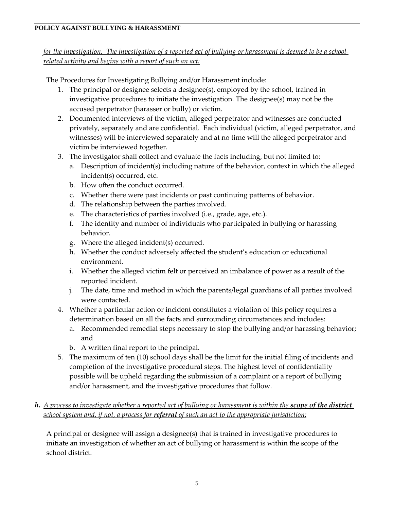*for the investigation. The investigation of a reported act of bullying or harassment is deemed to be a schoolrelated activity and begins with a report of such an act:*

The Procedures for Investigating Bullying and/or Harassment include:

- 1. The principal or designee selects a designee(s), employed by the school, trained in investigative procedures to initiate the investigation. The designee(s) may not be the accused perpetrator (harasser or bully) or victim.
- 2. Documented interviews of the victim, alleged perpetrator and witnesses are conducted privately, separately and are confidential. Each individual (victim, alleged perpetrator, and witnesses) will be interviewed separately and at no time will the alleged perpetrator and victim be interviewed together.
- 3. The investigator shall collect and evaluate the facts including, but not limited to:
	- a. Description of incident(s) including nature of the behavior, context in which the alleged incident(s) occurred, etc.
	- b. How often the conduct occurred.
	- c. Whether there were past incidents or past continuing patterns of behavior.
	- d. The relationship between the parties involved.
	- e. The characteristics of parties involved (i.e., grade, age, etc.).
	- f. The identity and number of individuals who participated in bullying or harassing behavior.
	- g. Where the alleged incident(s) occurred.
	- h. Whether the conduct adversely affected the student's education or educational environment.
	- i. Whether the alleged victim felt or perceived an imbalance of power as a result of the reported incident.
	- j. The date, time and method in which the parents/legal guardians of all parties involved were contacted.
- 4. Whether a particular action or incident constitutes a violation of this policy requires a determination based on all the facts and surrounding circumstances and includes:
	- a. Recommended remedial steps necessary to stop the bullying and/or harassing behavior; and
	- b. A written final report to the principal.
- 5. The maximum of ten (10) school days shall be the limit for the initial filing of incidents and completion of the investigative procedural steps. The highest level of confidentiality possible will be upheld regarding the submission of a complaint or a report of bullying and/or harassment, and the investigative procedures that follow.

# *h.* A process to investigate whether a reported act of bullying or harassment is within the **scope of the district** *school system and, if not, a process for referral of such an act to the appropriate jurisdiction:*

A principal or designee will assign a designee(s) that is trained in investigative procedures to initiate an investigation of whether an act of bullying or harassment is within the scope of the school district.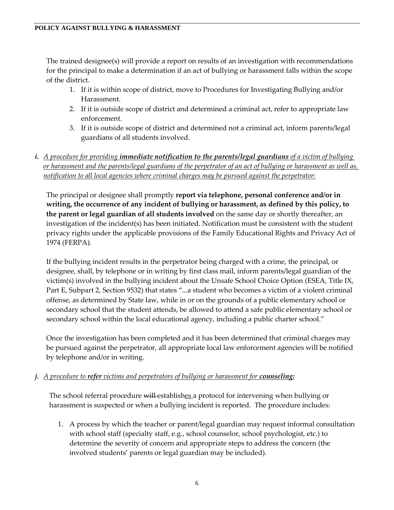The trained designee(s) will provide a report on results of an investigation with recommendations for the principal to make a determination if an act of bullying or harassment falls within the scope of the district.

- 1. If it is within scope of district, move to Procedures for Investigating Bullying and/or Harassment.
- 2. If it is outside scope of district and determined a criminal act, refer to appropriate law enforcement.
- 3. If it is outside scope of district and determined not a criminal act, inform parents/legal guardians of all students involved.
- *i. A procedure for providing immediate notification to the parents/legal guardians of a victim of bullying or harassment and the parents/legal guardians of the perpetrator of an act of bullying or harassment as well as, notification to all local agencies where criminal charges may be pursued against the perpetrator:*

The principal or designee shall promptly **report via telephone, personal conference and/or in writing, the occurrence of any incident of bullying or harassment, as defined by this policy, to the parent or legal guardian of all students involved** on the same day or shortly thereafter, an investigation of the incident(s) has been initiated. Notification must be consistent with the student privacy rights under the applicable provisions of the Family Educational Rights and Privacy Act of 1974 (FERPA).

If the bullying incident results in the perpetrator being charged with a crime, the principal, or designee, shall, by telephone or in writing by first class mail, inform parents/legal guardian of the victim(s) involved in the bullying incident about the Unsafe School Choice Option (ESEA, Title IX, Part E, Subpart 2, Section 9532) that states "...a student who becomes a victim of a violent criminal offense, as determined by State law, while in or on the grounds of a public elementary school or secondary school that the student attends, be allowed to attend a safe public elementary school or secondary school within the local educational agency, including a public charter school."

Once the investigation has been completed and it has been determined that criminal charges may be pursued against the perpetrator, all appropriate local law enforcement agencies will be notified by telephone and/or in writing.

### *j. A procedure to refer victims and perpetrators of bullying or harassment for counseling:*

The school referral procedure will establishes a protocol for intervening when bullying or harassment is suspected or when a bullying incident is reported. The procedure includes:

1. A process by which the teacher or parent/legal guardian may request informal consultation with school staff (specialty staff, e.g., school counselor, school psychologist, etc.) to determine the severity of concern and appropriate steps to address the concern (the involved students' parents or legal guardian may be included).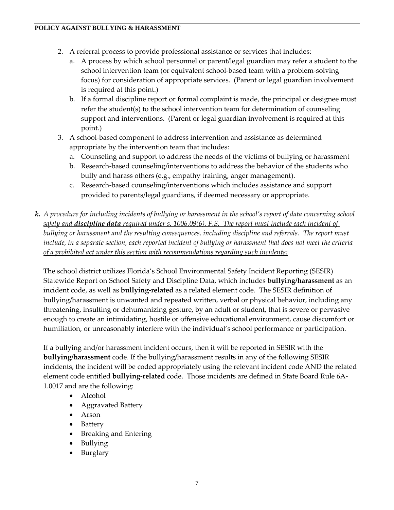- 2. A referral process to provide professional assistance or services that includes:
	- a. A process by which school personnel or parent/legal guardian may refer a student to the school intervention team (or equivalent school-based team with a problem-solving focus) for consideration of appropriate services. (Parent or legal guardian involvement is required at this point.)
	- b. If a formal discipline report or formal complaint is made, the principal or designee must refer the student(s) to the school intervention team for determination of counseling support and interventions. (Parent or legal guardian involvement is required at this point.)
- 3. A school-based component to address intervention and assistance as determined appropriate by the intervention team that includes:
	- a. Counseling and support to address the needs of the victims of bullying or harassment
	- b. Research-based counseling/interventions to address the behavior of the students who bully and harass others (e.g., empathy training, anger management).
	- c. Research-based counseling/interventions which includes assistance and support provided to parents/legal guardians, if deemed necessary or appropriate.
- *k. A procedure for including incidents of bullying or harassment in the school's report of data concerning school safety and discipline data required under s. 1006.09(6), F.S. The report must include each incident of bullying or harassment and the resulting consequences, including discipline and referrals. The report must include, in a separate section, each reported incident of bullying or harassment that does not meet the criteria of a prohibited act under this section with recommendations regarding such incidents:*

The school district utilizes Florida's School Environmental Safety Incident Reporting (SESIR) Statewide Report on School Safety and Discipline Data, which includes **bullying/harassment** as an incident code, as well as **bullying-related** as a related element code. The SESIR definition of bullying/harassment is unwanted and repeated written, verbal or physical behavior, including any threatening, insulting or dehumanizing gesture, by an adult or student, that is severe or pervasive enough to create an intimidating, hostile or offensive educational environment, cause discomfort or humiliation, or unreasonably interfere with the individual's school performance or participation.

If a bullying and/or harassment incident occurs, then it will be reported in SESIR with the **bullying/harassment** code. If the bullying/harassment results in any of the following SESIR incidents, the incident will be coded appropriately using the relevant incident code AND the related element code entitled **bullying-related** code. Those incidents are defined in State Board Rule 6A-1.0017 and are the following:

- Alcohol
- Aggravated Battery
- Arson
- Battery
- Breaking and Entering
- Bullying
- Burglary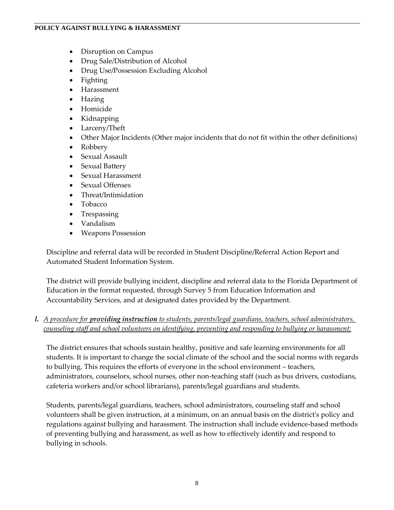- Disruption on Campus
- Drug Sale/Distribution of Alcohol
- Drug Use/Possession Excluding Alcohol
- Fighting
- Harassment
- Hazing
- Homicide
- Kidnapping
- Larceny/Theft
- Other Major Incidents (Other major incidents that do not fit within the other definitions)
- Robbery
- Sexual Assault
- Sexual Battery
- Sexual Harassment
- Sexual Offenses
- Threat/Intimidation
- Tobacco
- Trespassing
- Vandalism
- Weapons Possession

Discipline and referral data will be recorded in Student Discipline/Referral Action Report and Automated Student Information System.

The district will provide bullying incident, discipline and referral data to the Florida Department of Education in the format requested, through Survey 5 from Education Information and Accountability Services, and at designated dates provided by the Department.

# *l. A procedure for providing instruction to students, parents/legal guardians, teachers, school administrators, counseling staff and school volunteers on identifying, preventing and responding to bullying or harassment:*

The district ensures that schools sustain healthy, positive and safe learning environments for all students. It is important to change the social climate of the school and the social norms with regards to bullying. This requires the efforts of everyone in the school environment – teachers, administrators, counselors, school nurses, other non-teaching staff (such as bus drivers, custodians, cafeteria workers and/or school librarians), parents/legal guardians and students.

Students, parents/legal guardians, teachers, school administrators, counseling staff and school volunteers shall be given instruction, at a minimum, on an annual basis on the district's policy and regulations against bullying and harassment. The instruction shall include evidence-based methods of preventing bullying and harassment, as well as how to effectively identify and respond to bullying in schools.